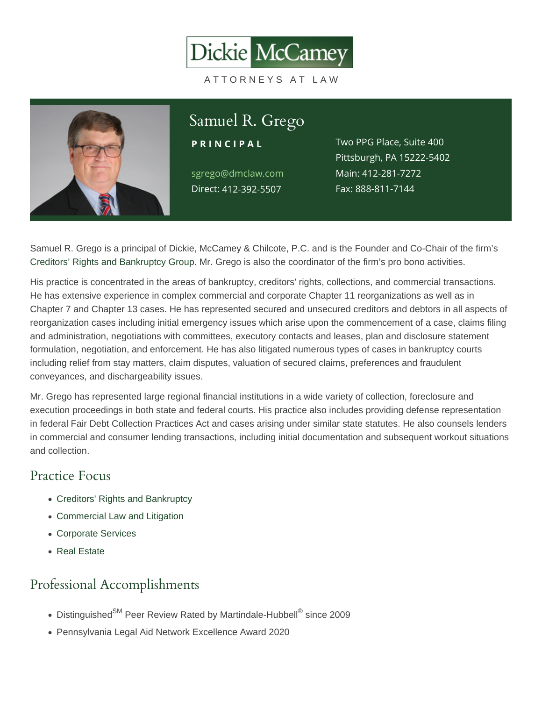# Samuel R. Grego

PRINCIPAL

sgrego@dmclaw.com Main4:12-281-7272 Direc4t12-392-5507

Two PPG Place, Suite 400 Pittsburgh, PA 15222-5402 Fax: 888-811-7144

Samuel R. Grego is a principal of Dickie, McCamey & Chilcote, P.C. and is the Founder and Co-Chair of the firm's [Creditors' Rights and Bankruptcy Group.](/practices/bankruptcy-and-creditors-rights/) Mr. Grego is also the coordinator of the firm's pro bono activities.

His practice is concentrated in the areas of bankruptcy, creditors' rights, collections, and commercial transactions. He has extensive experience in complex commercial and corporate Chapter 11 reorganizations as well as in Chapter 7 and Chapter 13 cases. He has represented secured and unsecured creditors and debtors in all aspects of reorganization cases including initial emergency issues which arise upon the commencement of a case, claims filing and administration, negotiations with committees, executory contacts and leases, plan and disclosure statement formulation, negotiation, and enforcement. He has also litigated numerous types of cases in bankruptcy courts including relief from stay matters, claim disputes, valuation of secured claims, preferences and fraudulent conveyances, and dischargeability issues.

Mr. Grego has represented large regional financial institutions in a wide variety of collection, foreclosure and execution proceedings in both state and federal courts. His practice also includes providing defense representation in federal Fair Debt Collection Practices Act and cases arising under similar state statutes. He also counsels lenders in commercial and consumer lending transactions, including initial documentation and subsequent workout situations and collection.

### Practice Focus

- [Creditors' Rights and Bankruptcy](https://www.dmclaw.com/practices/bankruptcy-and-creditors-rights/)
- [Commercial Law and Litigation](https://www.dmclaw.com/practices/commercial-litigation/)
- [Corporate Services](https://www.dmclaw.com/practices/corporate-services/)
- [Real Estate](https://www.dmclaw.com/practices/real-estate/)

# Professional Accomplishments

- Distinguished<sup>SM</sup> Peer Review Rated by Martindale-Hubbell® since 2009
- Pennsylvania Legal Aid Network Excellence Award 2020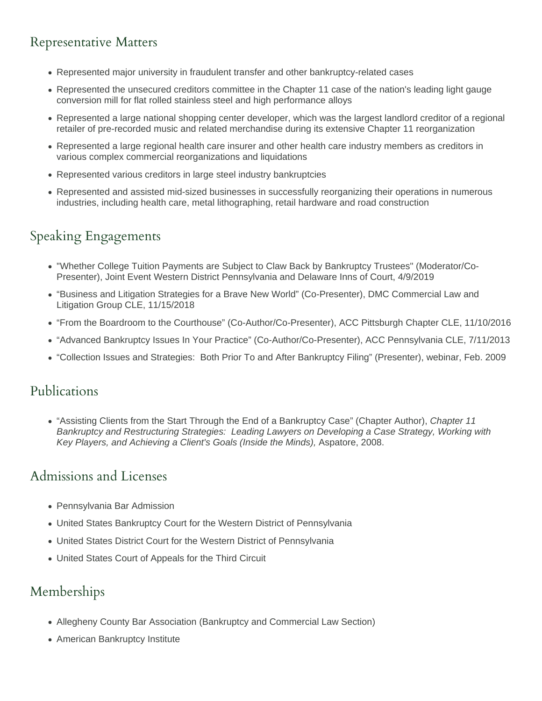# Representative Matters

- Represented major university in fraudulent transfer and other bankruptcy-related cases
- Represented the unsecured creditors committee in the Chapter 11 case of the nation's leading light gauge conversion mill for flat rolled stainless steel and high performance alloys
- Represented a large national shopping center developer, which was the largest landlord creditor of a regional retailer of pre-recorded music and related merchandise during its extensive Chapter 11 reorganization
- Represented a large regional health care insurer and other health care industry members as creditors in various complex commercial reorganizations and liquidations
- Represented various creditors in large steel industry bankruptcies
- Represented and assisted mid-sized businesses in successfully reorganizing their operations in numerous industries, including health care, metal lithographing, retail hardware and road construction

# Speaking Engagements

- "Whether College Tuition Payments are Subject to Claw Back by Bankruptcy Trustees" (Moderator/Co-Presenter), Joint Event Western District Pennsylvania and Delaware Inns of Court, 4/9/2019
- "Business and Litigation Strategies for a Brave New World" (Co-Presenter), DMC Commercial Law and Litigation Group CLE, 11/15/2018
- "From the Boardroom to the Courthouse" (Co-Author/Co-Presenter), ACC Pittsburgh Chapter CLE, 11/10/2016
- "Advanced Bankruptcy Issues In Your Practice" (Co-Author/Co-Presenter), ACC Pennsylvania CLE, 7/11/2013
- "Collection Issues and Strategies: Both Prior To and After Bankruptcy Filing" (Presenter), webinar, Feb. 2009

#### Publications

• "Assisting Clients from the Start Through the End of a Bankruptcy Case" (Chapter Author), Chapter 11 Bankruptcy and Restructuring Strategies: Leading Lawyers on Developing a Case Strategy, Working with Key Players, and Achieving a Client's Goals (Inside the Minds), Aspatore, 2008.

#### Admissions and Licenses

- Pennsylvania Bar Admission
- United States Bankruptcy Court for the Western District of Pennsylvania
- United States District Court for the Western District of Pennsylvania
- United States Court of Appeals for the Third Circuit

### Memberships

- Allegheny County Bar Association (Bankruptcy and Commercial Law Section)
- American Bankruptcy Institute